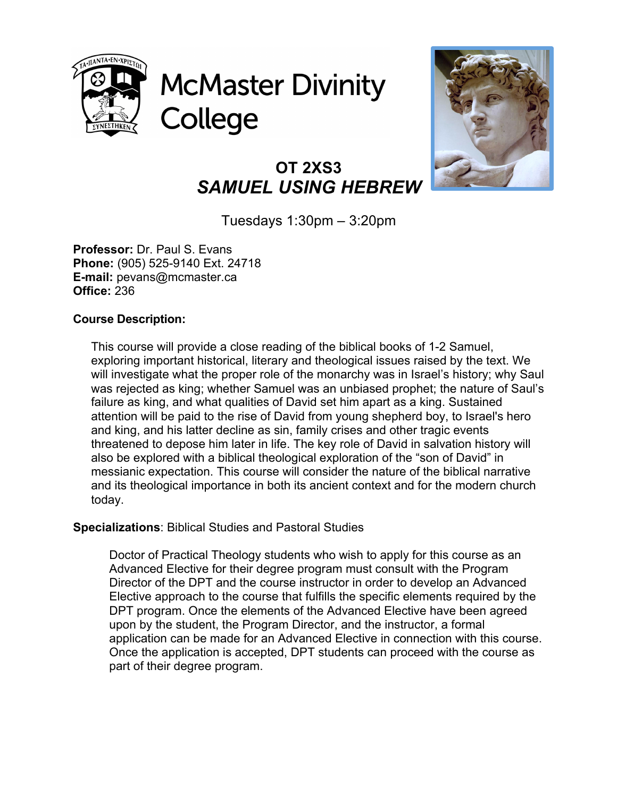

**McMaster Divinity** College



# **OT 2XS3** *SAMUEL USING HEBREW*

Tuesdays 1:30pm – 3:20pm

**Professor:** Dr. Paul S. Evans **Phone:** (905) 525-9140 Ext. 24718 **E-mail:** pevans@mcmaster.ca **Office:** 236

# **Course Description:**

This course will provide a close reading of the biblical books of 1-2 Samuel, exploring important historical, literary and theological issues raised by the text. We will investigate what the proper role of the monarchy was in Israel's history; why Saul was rejected as king; whether Samuel was an unbiased prophet; the nature of Saul's failure as king, and what qualities of David set him apart as a king. Sustained attention will be paid to the rise of David from young shepherd boy, to Israel's hero and king, and his latter decline as sin, family crises and other tragic events threatened to depose him later in life. The key role of David in salvation history will also be explored with a biblical theological exploration of the "son of David" in messianic expectation. This course will consider the nature of the biblical narrative and its theological importance in both its ancient context and for the modern church today.

## **Specializations**: Biblical Studies and Pastoral Studies

Doctor of Practical Theology students who wish to apply for this course as an Advanced Elective for their degree program must consult with the Program Director of the DPT and the course instructor in order to develop an Advanced Elective approach to the course that fulfills the specific elements required by the DPT program. Once the elements of the Advanced Elective have been agreed upon by the student, the Program Director, and the instructor, a formal application can be made for an Advanced Elective in connection with this course. Once the application is accepted, DPT students can proceed with the course as part of their degree program.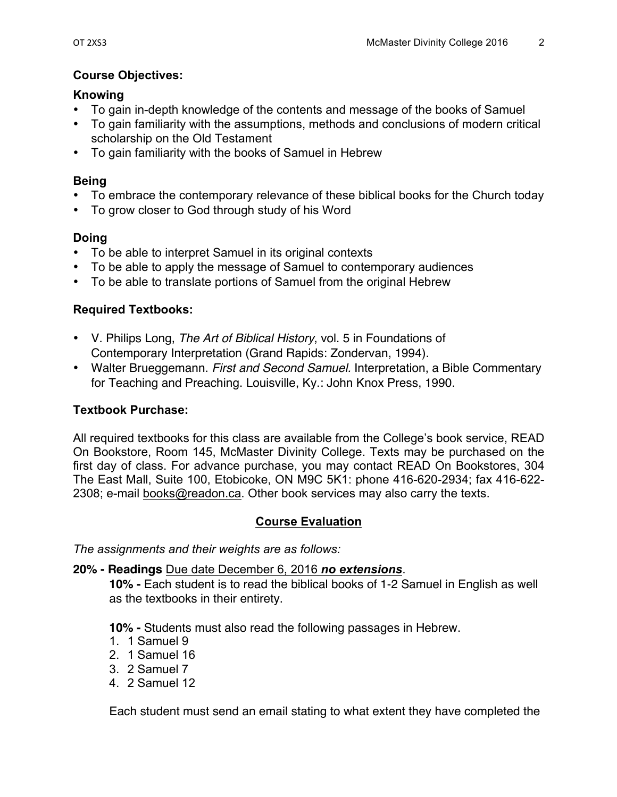# **Course Objectives:**

## **Knowing**

- To gain in-depth knowledge of the contents and message of the books of Samuel
- To gain familiarity with the assumptions, methods and conclusions of modern critical scholarship on the Old Testament
- To gain familiarity with the books of Samuel in Hebrew

## **Being**

- To embrace the contemporary relevance of these biblical books for the Church today
- To grow closer to God through study of his Word

## **Doing**

- To be able to interpret Samuel in its original contexts
- To be able to apply the message of Samuel to contemporary audiences
- To be able to translate portions of Samuel from the original Hebrew

## **Required Textbooks:**

- V. Philips Long, *The Art of Biblical History*, vol. 5 in Foundations of Contemporary Interpretation (Grand Rapids: Zondervan, 1994).
- Walter Brueggemann. *First and Second Samuel.* Interpretation, a Bible Commentary for Teaching and Preaching. Louisville, Ky.: John Knox Press, 1990.

## **Textbook Purchase:**

All required textbooks for this class are available from the College's book service, READ On Bookstore, Room 145, McMaster Divinity College. Texts may be purchased on the first day of class. For advance purchase, you may contact READ On Bookstores, 304 The East Mall, Suite 100, Etobicoke, ON M9C 5K1: phone 416-620-2934; fax 416-622- 2308; e-mail books@readon.ca. Other book services may also carry the texts.

## **Course Evaluation**

*The assignments and their weights are as follows:*

### **20% - Readings** Due date December 6, 2016 *no extensions*.

**10% -** Each student is to read the biblical books of 1-2 Samuel in English as well as the textbooks in their entirety.

**10% -** Students must also read the following passages in Hebrew.

- 1. 1 Samuel 9
- 2. 1 Samuel 16
- 3. 2 Samuel 7
- 4. 2 Samuel 12

Each student must send an email stating to what extent they have completed the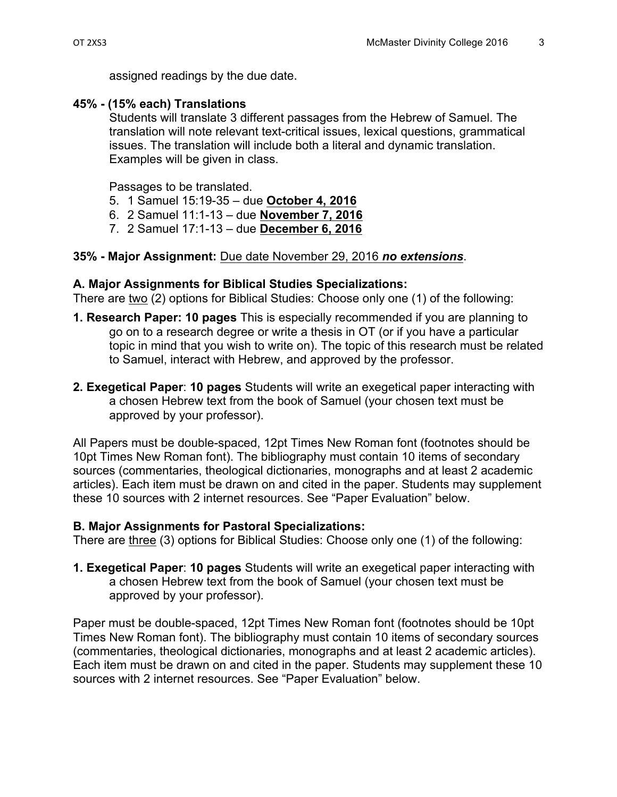assigned readings by the due date.

## **45% - (15% each) Translations**

Students will translate 3 different passages from the Hebrew of Samuel. The translation will note relevant text-critical issues, lexical questions, grammatical issues. The translation will include both a literal and dynamic translation. Examples will be given in class.

Passages to be translated.

- 5. 1 Samuel 15:19-35 due **October 4, 2016**
- 6. 2 Samuel 11:1-13 due **November 7, 2016**
- 7. 2 Samuel 17:1-13 due **December 6, 2016**

### **35% - Major Assignment:** Due date November 29, 2016 *no extensions*.

### **A. Major Assignments for Biblical Studies Specializations:**

There are two (2) options for Biblical Studies: Choose only one (1) of the following:

- **1. Research Paper: 10 pages** This is especially recommended if you are planning to go on to a research degree or write a thesis in OT (or if you have a particular topic in mind that you wish to write on). The topic of this research must be related to Samuel, interact with Hebrew, and approved by the professor.
- **2. Exegetical Paper**: **10 pages** Students will write an exegetical paper interacting with a chosen Hebrew text from the book of Samuel (your chosen text must be approved by your professor).

All Papers must be double-spaced, 12pt Times New Roman font (footnotes should be 10pt Times New Roman font). The bibliography must contain 10 items of secondary sources (commentaries, theological dictionaries, monographs and at least 2 academic articles). Each item must be drawn on and cited in the paper. Students may supplement these 10 sources with 2 internet resources. See "Paper Evaluation" below.

### **B. Major Assignments for Pastoral Specializations:**

There are three (3) options for Biblical Studies: Choose only one (1) of the following:

**1. Exegetical Paper**: **10 pages** Students will write an exegetical paper interacting with a chosen Hebrew text from the book of Samuel (your chosen text must be approved by your professor).

Paper must be double-spaced, 12pt Times New Roman font (footnotes should be 10pt Times New Roman font). The bibliography must contain 10 items of secondary sources (commentaries, theological dictionaries, monographs and at least 2 academic articles). Each item must be drawn on and cited in the paper. Students may supplement these 10 sources with 2 internet resources. See "Paper Evaluation" below.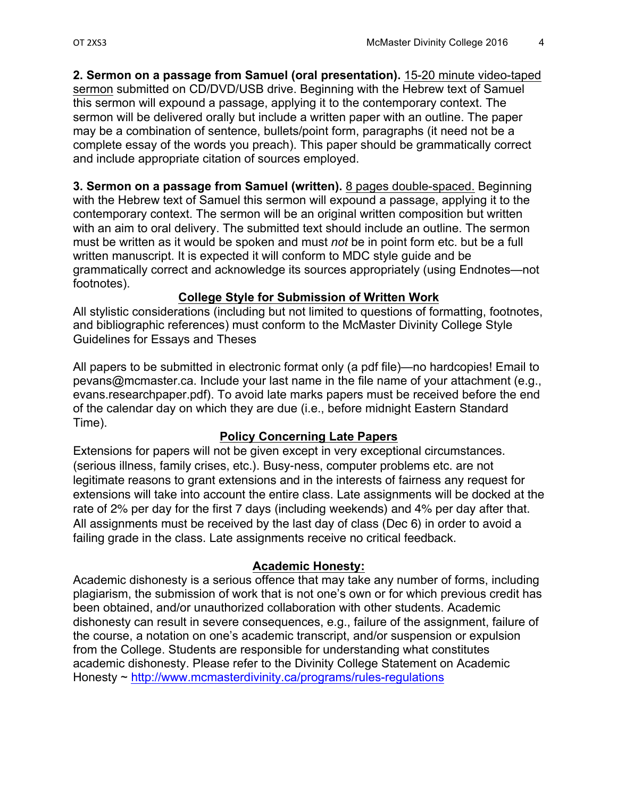**2. Sermon on a passage from Samuel (oral presentation).** 15-20 minute video-taped sermon submitted on CD/DVD/USB drive. Beginning with the Hebrew text of Samuel this sermon will expound a passage, applying it to the contemporary context. The sermon will be delivered orally but include a written paper with an outline. The paper may be a combination of sentence, bullets/point form, paragraphs (it need not be a complete essay of the words you preach). This paper should be grammatically correct and include appropriate citation of sources employed.

**3. Sermon on a passage from Samuel (written).** 8 pages double-spaced. Beginning with the Hebrew text of Samuel this sermon will expound a passage, applying it to the contemporary context. The sermon will be an original written composition but written with an aim to oral delivery. The submitted text should include an outline. The sermon must be written as it would be spoken and must *not* be in point form etc. but be a full written manuscript. It is expected it will conform to MDC style guide and be grammatically correct and acknowledge its sources appropriately (using Endnotes—not footnotes).

#### **College Style for Submission of Written Work**

All stylistic considerations (including but not limited to questions of formatting, footnotes, and bibliographic references) must conform to the McMaster Divinity College Style Guidelines for Essays and Theses

All papers to be submitted in electronic format only (a pdf file)—no hardcopies! Email to pevans@mcmaster.ca. Include your last name in the file name of your attachment (e.g., evans.researchpaper.pdf). To avoid late marks papers must be received before the end of the calendar day on which they are due (i.e., before midnight Eastern Standard Time).

### **Policy Concerning Late Papers**

Extensions for papers will not be given except in very exceptional circumstances. (serious illness, family crises, etc.). Busy-ness, computer problems etc. are not legitimate reasons to grant extensions and in the interests of fairness any request for extensions will take into account the entire class. Late assignments will be docked at the rate of 2% per day for the first 7 days (including weekends) and 4% per day after that. All assignments must be received by the last day of class (Dec 6) in order to avoid a failing grade in the class. Late assignments receive no critical feedback.

### **Academic Honesty:**

Academic dishonesty is a serious offence that may take any number of forms, including plagiarism, the submission of work that is not one's own or for which previous credit has been obtained, and/or unauthorized collaboration with other students. Academic dishonesty can result in severe consequences, e.g., failure of the assignment, failure of the course, a notation on one's academic transcript, and/or suspension or expulsion from the College. Students are responsible for understanding what constitutes academic dishonesty. Please refer to the Divinity College Statement on Academic Honesty ~ http://www.mcmasterdivinity.ca/programs/rules-regulations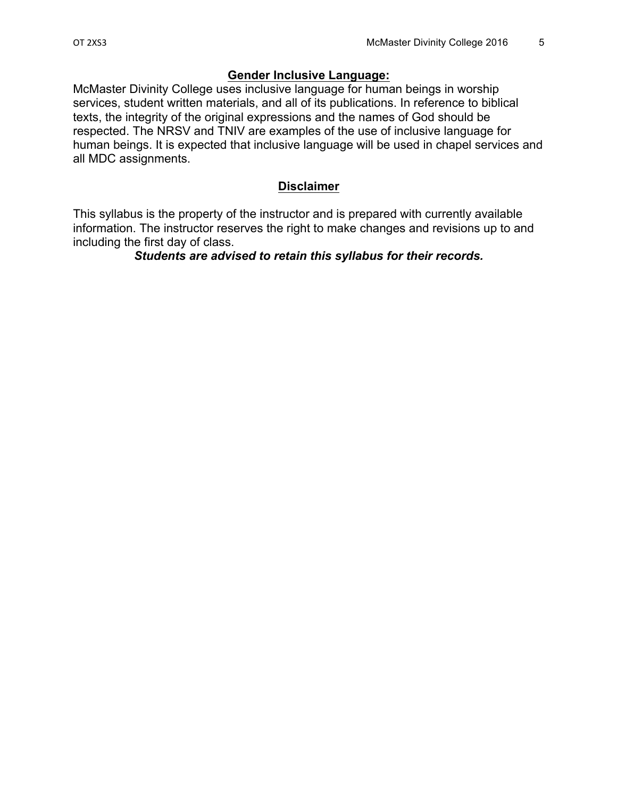#### **Gender Inclusive Language:**

McMaster Divinity College uses inclusive language for human beings in worship services, student written materials, and all of its publications. In reference to biblical texts, the integrity of the original expressions and the names of God should be respected. The NRSV and TNIV are examples of the use of inclusive language for human beings. It is expected that inclusive language will be used in chapel services and all MDC assignments.

#### **Disclaimer**

This syllabus is the property of the instructor and is prepared with currently available information. The instructor reserves the right to make changes and revisions up to and including the first day of class.

#### *Students are advised to retain this syllabus for their records.*